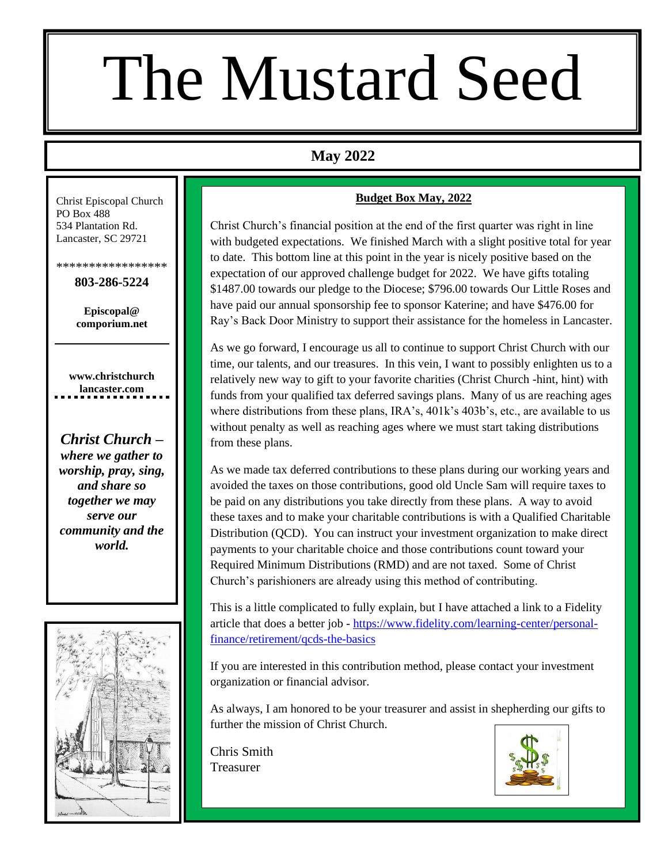## The Mustard Seed

### **May 2022**

Christ Episcopal Church PO Box 488 534 Plantation Rd. Lancaster, SC 29721

\*\*\*\*\*\*\*\*\*\*\*\*\*\*\*\*\*

**803-286-5224**

**Episcopal@ comporium.net**

**www.christchurch lancaster.com**

*Christ Church – where we gather to worship, pray, sing, and share so together we may serve our community and the world.*



#### **Budget Box May, 2022**

Christ Church's financial position at the end of the first quarter was right in line with budgeted expectations. We finished March with a slight positive total for year to date. This bottom line at this point in the year is nicely positive based on the expectation of our approved challenge budget for 2022. We have gifts totaling \$1487.00 towards our pledge to the Diocese; \$796.00 towards Our Little Roses and have paid our annual sponsorship fee to sponsor Katerine; and have \$476.00 for Ray's Back Door Ministry to support their assistance for the homeless in Lancaster.

As we go forward, I encourage us all to continue to support Christ Church with our time, our talents, and our treasures. In this vein, I want to possibly enlighten us to a relatively new way to gift to your favorite charities (Christ Church -hint, hint) with funds from your qualified tax deferred savings plans. Many of us are reaching ages where distributions from these plans, IRA's, 401k's 403b's, etc., are available to us without penalty as well as reaching ages where we must start taking distributions from these plans.

As we made tax deferred contributions to these plans during our working years and avoided the taxes on those contributions, good old Uncle Sam will require taxes to be paid on any distributions you take directly from these plans. A way to avoid these taxes and to make your charitable contributions is with a Qualified Charitable Distribution (QCD). You can instruct your investment organization to make direct payments to your charitable choice and those contributions count toward your Required Minimum Distributions (RMD) and are not taxed. Some of Christ Church's parishioners are already using this method of contributing.

This is a little complicated to fully explain, but I have attached a link to a Fidelity article that does a better job - [https://www.fidelity.com/learning-center/personal](https://www.fidelity.com/learning-center/personal-finance/retirement/qcds-the-basics)[finance/retirement/qcds-the-basics](https://www.fidelity.com/learning-center/personal-finance/retirement/qcds-the-basics)

If you are interested in this contribution method, please contact your investment organization or financial advisor.

As always, I am honored to be your treasurer and assist in shepherding our gifts to further the mission of Christ Church.

Chris Smith Treasurer

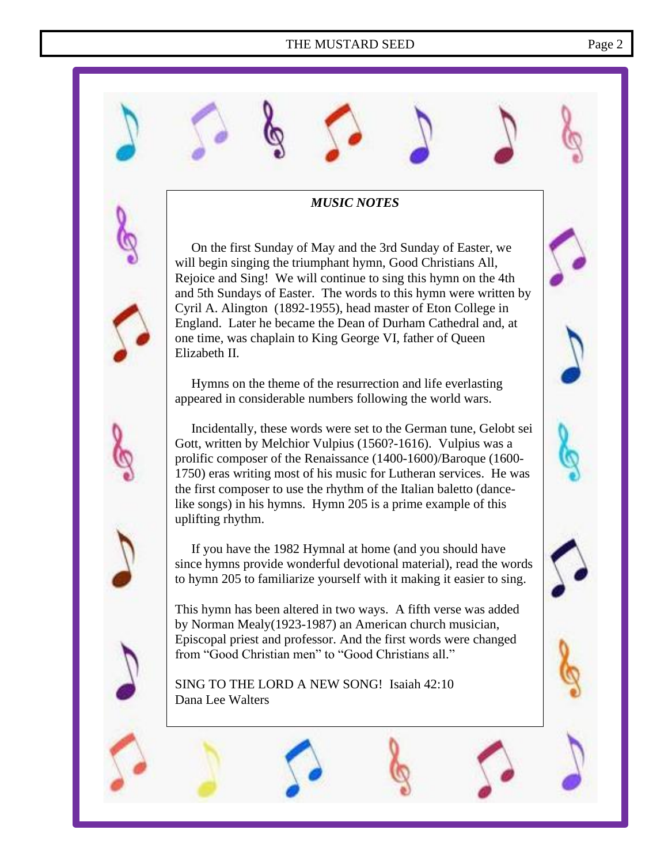On the first Sunday of May and the 3rd Sunday of Easter, we will begin singing the triumphant hymn, Good Christians All, Rejoice and Sing! We will continue to sing this hymn on the 4th and 5th Sundays of Easter. The words to this hymn were written by Cyril A. Alington (1892-1955), head master of Eton College in England. Later he became the Dean of Durham Cathedral and, at one time, was chaplain to King George VI, father of Queen Elizabeth II.

 Hymns on the theme of the resurrection and life everlasting appeared in considerable numbers following the world wars.

 Incidentally, these words were set to the German tune, Gelobt sei Gott, written by Melchior Vulpius (1560?-1616). Vulpius was a prolific composer of the Renaissance (1400-1600)/Baroque (1600- 1750) eras writing most of his music for Lutheran services. He was the first composer to use the rhythm of the Italian baletto (dancelike songs) in his hymns. Hymn 205 is a prime example of this uplifting rhythm.

 If you have the 1982 Hymnal at home (and you should have since hymns provide wonderful devotional material), read the words to hymn 205 to familiarize yourself with it making it easier to sing.

This hymn has been altered in two ways. A fifth verse was added by Norman Mealy(1923-1987) an American church musician, Episcopal priest and professor. And the first words were changed from "Good Christian men" to "Good Christians all."

SING TO THE LORD A NEW SONG! Isaiah 42:10 Dana Lee Walters

i<br>I

### *MUSIC NOTES*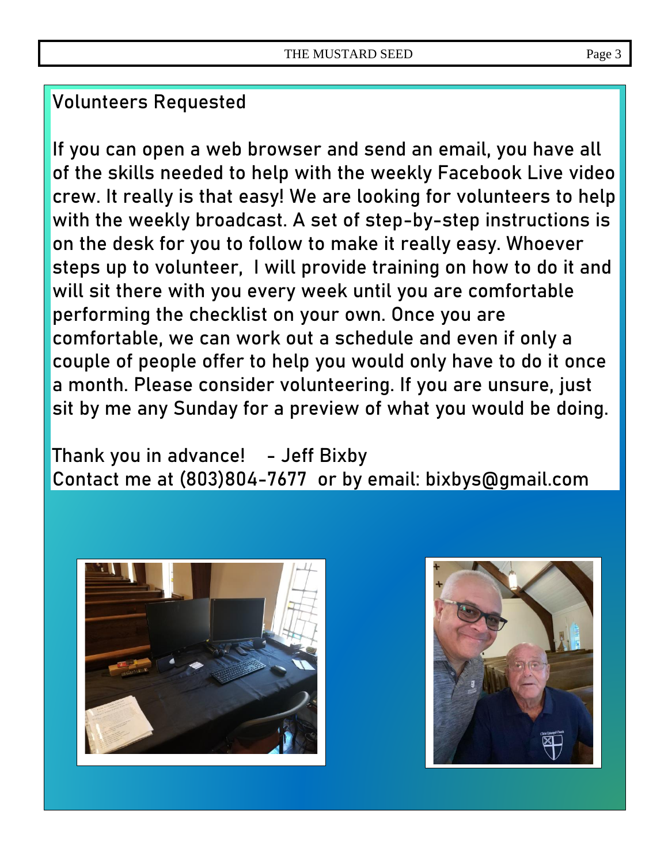### **Volunteers Requested**

If you can open a web browser and send an email, you have all of the skills needed to help with the weekly Facebook Live video crew. It really is that easy! We are looking for volunteers to help with the weekly broadcast. A set of step-by-step instructions is on the desk for you to follow to make it really easy. Whoever steps up to volunteer, I will provide training on how to do it and will sit there with you every week until you are comfortable performing the checklist on your own. Once you are comfortable, we can work out a schedule and even if only a couple of people offer to help you would only have to do it once a month. Please consider volunteering. If you are unsure, just sit by me any Sunday for a preview of what you would be doing.

Thank you in advance! - Jeff Bixby Contact me at (803)804-7677 or by email: [bixbys@gmail.com](mailto:bixbys@gmail.com)



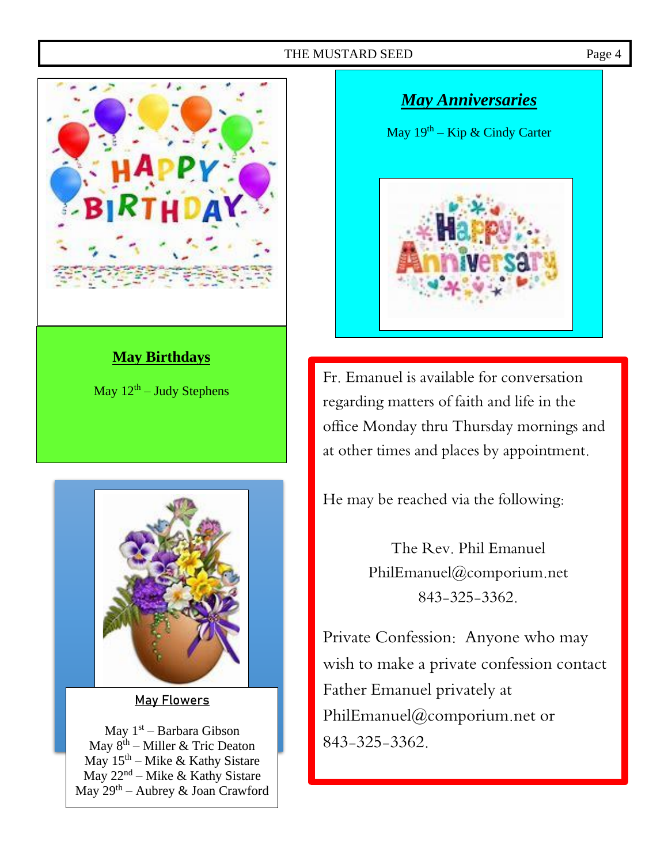

### **May Birthdays**

May  $12<sup>th</sup> -$  Judy Stephens



May Flowers

May 1<sup>st</sup> – Barbara Gibson May  $8^{\text{th}}$  – Miller & Tric Deaton May  $15^{th}$  – Mike & Kathy Sistare May 22<sup>nd</sup> – Mike & Kathy Sistare May 29th – Aubrey & Joan Crawford

# *May Anniversaries* May 19<sup>th</sup> – Kip & Cindy Carter

Fr. Emanuel is available for conversation regarding matters of faith and life in the office Monday thru Thursday mornings and at other times and places by appointment.

He may be reached via the following:

The Rev. Phil Emanuel PhilEmanuel@comporium.net 843-325-3362.

Private Confession: Anyone who may wish to make a private confession contact Father Emanuel privately at [PhilEmanuel@comporium.net](mailto:PhilEmanuel@comporium.net) or 843-325-3362.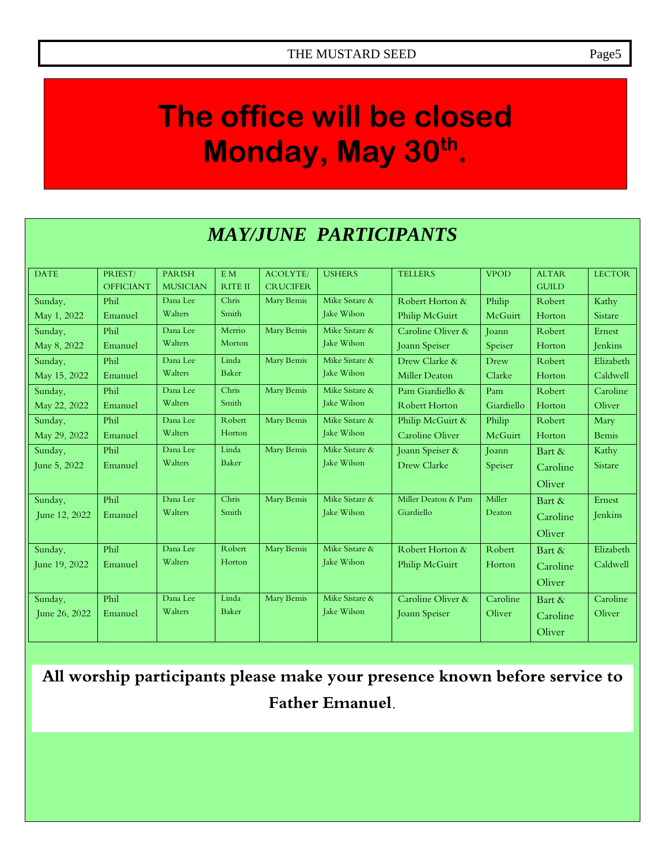### **The office will be closed Monday, May 30th .**

### *MAY/JUNE PARTICIPANTS*

| <b>DATE</b>   | PRIEST/          | <b>PARISH</b>   | E M            | <b>ACOLYTE</b>  | <b>USHERS</b>  | <b>TELLERS</b>         | <b>VPOD</b> | <b>ALTAR</b> | <b>LECTOR</b>  |
|---------------|------------------|-----------------|----------------|-----------------|----------------|------------------------|-------------|--------------|----------------|
|               | <b>OFFICIANT</b> | <b>MUSICIAN</b> | <b>RITE II</b> | <b>CRUCIFER</b> |                |                        |             | <b>GUILD</b> |                |
| Sunday,       | Phil             | Dana Lee        | Chris          | Mary Bemis      | Mike Sistare & | Robert Horton &        | Philip      | Robert       | Kathy          |
| May 1, 2022   | Emanuel          | Walters         | Smith          |                 | Jake Wilson    | Philip McGuirt         | McGuirt     | Horton       | <b>Sistare</b> |
| Sunday,       | Phil             | Dana Lee        | Merrio         | Mary Bemis      | Mike Sistare & | Caroline Oliver &      | Joann       | Robert       | Ernest         |
| May 8, 2022   | Emanuel          | Walters         | Morton         |                 | Jake Wilson    | Joann Speiser          | Speiser     | Horton       | Jenkins        |
| Sunday,       | Phil             | Dana Lee        | Linda          | Mary Bemis      | Mike Sistare & | Drew Clarke &          | Drew        | Robert       | Elizabeth      |
| May 15, 2022  | Emanuel          | Walters         | <b>Baker</b>   |                 | Jake Wilson    | <b>Miller Deaton</b>   | Clarke      | Horton       | Caldwell       |
| Sunday,       | Phil             | Dana Lee        | Chris          | Mary Bemis      | Mike Sistare & | Pam Giardiello &       | Pam         | Robert       | Caroline       |
| May 22, 2022  | Emanuel          | Walters         | Smith          |                 | Jake Wilson    | <b>Robert Horton</b>   | Giardiello  | Horton       | Oliver         |
| Sunday,       | Phil             | Dana Lee        | Robert         | Mary Bemis      | Mike Sistare & | Philip McGuirt &       | Philip      | Robert       | Mary           |
| May 29, 2022  | Emanuel          | Walters         | Horton         |                 | Jake Wilson    | <b>Caroline Oliver</b> | McGuirt     | Horton       | <b>Bemis</b>   |
| Sunday,       | Phil             | Dana Lee        | Linda          | Mary Bemis      | Mike Sistare & | Joann Speiser &        | Joann       | Bart &       | Kathy          |
| June 5, 2022  | Emanuel          | Walters         | <b>Baker</b>   |                 | Jake Wilson    | Drew Clarke            | Speiser     | Caroline     | <b>Sistare</b> |
|               |                  |                 |                |                 |                |                        |             | Oliver       |                |
| Sunday,       | Phil             | Dana Lee        | Chris          | Mary Bemis      | Mike Sistare & | Miller Deaton & Pam    | Miller      | Bart &       | Ernest         |
| June 12, 2022 | Emanuel          | Walters         | Smith          |                 | Jake Wilson    | Giardiello             | Deaton      | Caroline     | Jenkins        |
|               |                  |                 |                |                 |                |                        |             | Oliver       |                |
| Sunday,       | Phil             | Dana Lee        | Robert         | Mary Bemis      | Mike Sistare & | Robert Horton &        | Robert      | Bart &       | Elizabeth      |
| June 19, 2022 | Emanuel          | Walters         | Horton         |                 | Jake Wilson    | Philip McGuirt         | Horton      | Caroline     | Caldwell       |
|               |                  |                 |                |                 |                |                        |             | Oliver       |                |
| Sunday,       | Phil             | Dana Lee        | Linda          | Mary Bemis      | Mike Sistare & | Caroline Oliver &      | Caroline    | Bart &       | Caroline       |
| June 26, 2022 | Emanuel          | Walters         | <b>Baker</b>   |                 | Jake Wilson    | Joann Speiser          | Oliver      | Caroline     | Oliver         |
|               |                  |                 |                |                 |                |                        |             |              |                |
|               |                  |                 |                |                 |                |                        |             | Oliver       |                |

**All worship participants please make your presence known before service to Father Emanuel.**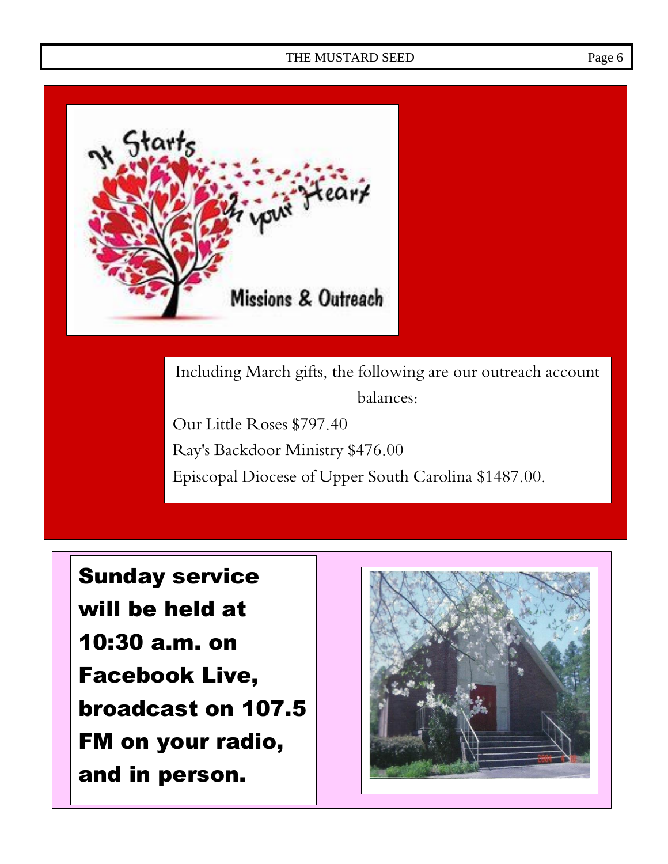

Including March gifts, the following are our outreach account balances: Our Little Roses \$797.40

Ray's Backdoor Ministry \$476.00 Episcopal Diocese of Upper South Carolina \$1487.00.

Sunday service will be held at 10:30 a.m. on Facebook Live, broadcast on 107.5 FM on your radio, and in person.

 $\overline{a}$ 

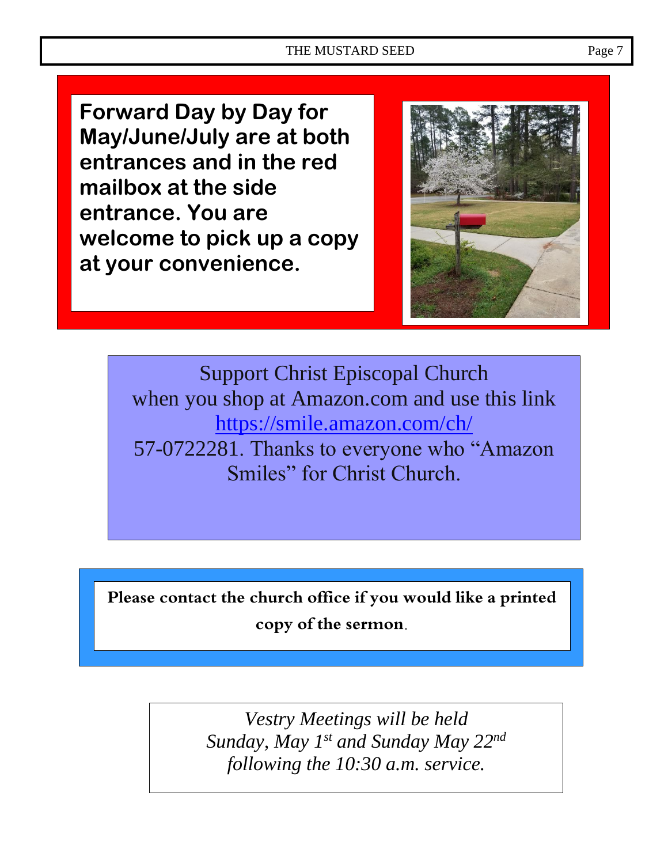**Forward Day by Day for May/June/July are at both entrances and in the red mailbox at the side entrance. You are welcome to pick up a copy at your convenience.**



Support Christ Episcopal Church when you shop at Amazon.com and use this link <https://smile.amazon.com/ch/> 57-0722281. Thanks to everyone who "Amazon Smiles" for Christ Church.

**Please contact the church office if you would like a printed copy of the sermon.**

> *Vestry Meetings will be held Sunday, May 1st and Sunday May 22nd following the 10:30 a.m. service.*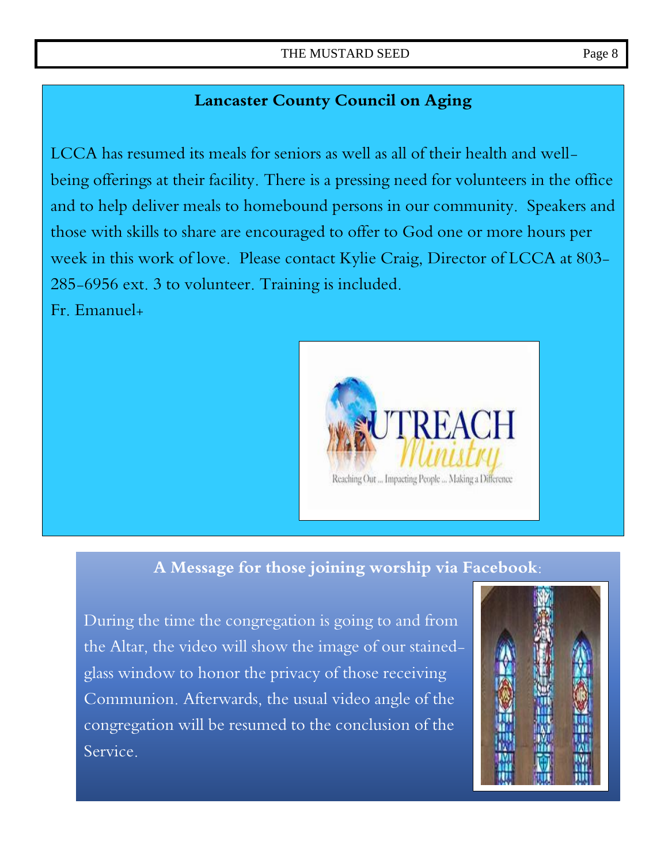### **Lancaster County Council on Aging**

LCCA has resumed its meals for seniors as well as all of their health and wellbeing offerings at their facility. There is a pressing need for volunteers in the office and to help deliver meals to homebound persons in our community. Speakers and those with skills to share are encouraged to offer to God one or more hours per week in this work of love. Please contact Kylie Craig, Director of LCCA at 803- 285-6956 ext. 3 to volunteer. Training is included.

Fr. Emanuel+



### **A Message for those joining worship via Facebook:**

During the time the congregation is going to and from the Altar, the video will show the image of our stainedglass window to honor the privacy of those receiving Communion. Afterwards, the usual video angle of the congregation will be resumed to the conclusion of the Service.